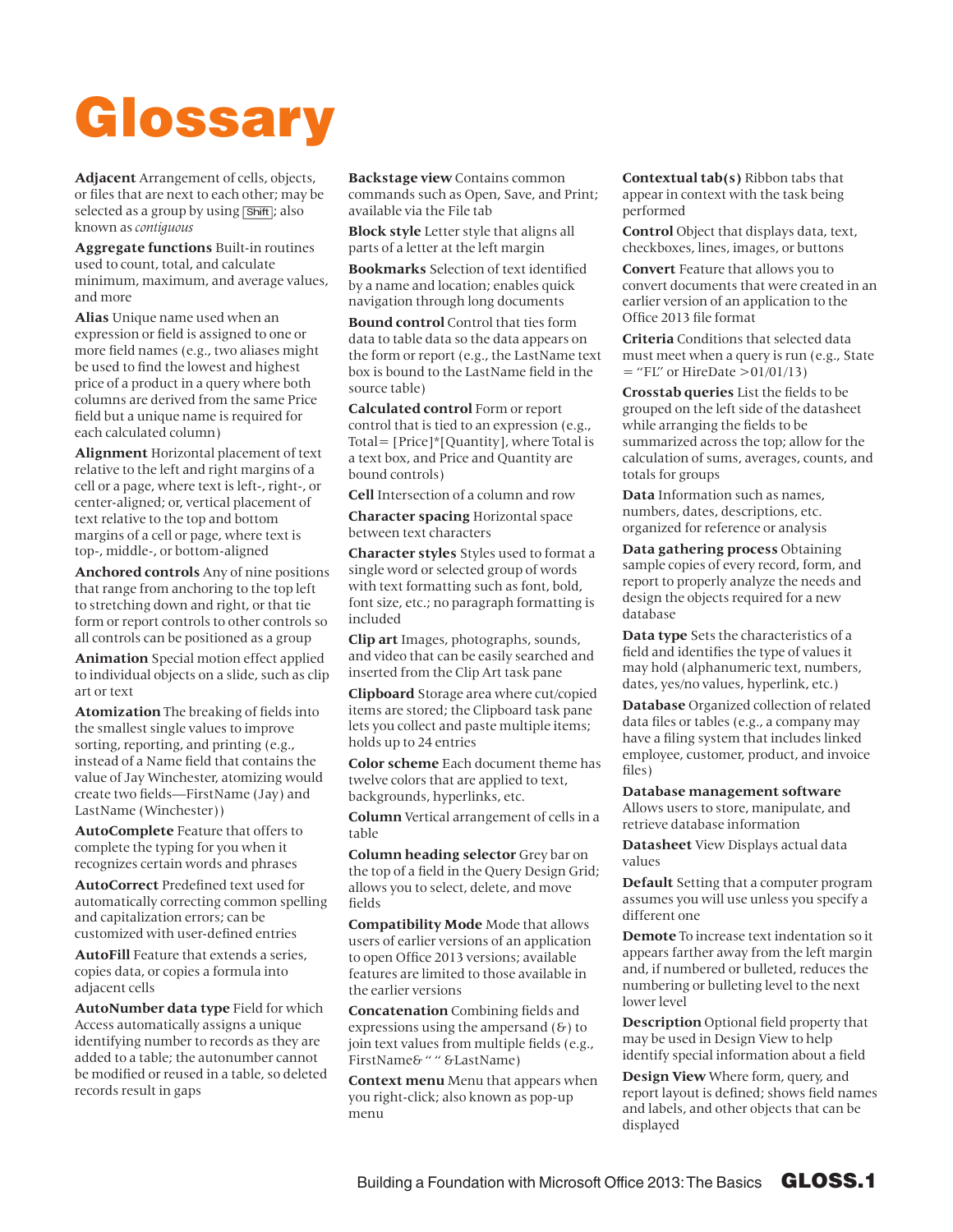## Glossary

**Adjacent** Arrangement of cells, objects, or files that are next to each other; may be selected as a group by using [Shift]; also known as *contiguous*

**Aggregate functions** Built-in routines used to count, total, and calculate minimum, maximum, and average values, and more

**Alias** Unique name used when an expression or field is assigned to one or more field names (e.g., two aliases might be used to find the lowest and highest price of a product in a query where both columns are derived from the same Price field but a unique name is required for each calculated column)

**Alignment** Horizontal placement of text relative to the left and right margins of a cell or a page, where text is left-, right-, or center-aligned; or, vertical placement of text relative to the top and bottom margins of a cell or page, where text is top-, middle-, or bottom-aligned

**Anchored controls** Any of nine positions that range from anchoring to the top left to stretching down and right, or that tie form or report controls to other controls so all controls can be positioned as a group

**Animation** Special motion effect applied to individual objects on a slide, such as clip art or text

**Atomization** The breaking of fields into the smallest single values to improve sorting, reporting, and printing (e.g., instead of a Name field that contains the value of Jay Winchester, atomizing would create two fields—FirstName (Jay) and LastName (Winchester))

**AutoComplete** Feature that offers to complete the typing for you when it recognizes certain words and phrases

**AutoCorrect** Predefined text used for automatically correcting common spelling and capitalization errors; can be customized with user-defined entries

**AutoFill** Feature that extends a series, copies data, or copies a formula into adjacent cells

**AutoNumber data type** Field for which Access automatically assigns a unique identifying number to records as they are added to a table; the autonumber cannot be modified or reused in a table, so deleted records result in gaps

**Backstage view** Contains common commands such as Open, Save, and Print; available via the File tab

**Block style** Letter style that aligns all parts of a letter at the left margin

**Bookmarks** Selection of text identified by a name and location; enables quick navigation through long documents

**Bound control** Control that ties form data to table data so the data appears on the form or report (e.g., the LastName text box is bound to the LastName field in the source table)

**Calculated control** Form or report control that is tied to an expression (e.g., Total= [Price]\*[Quantity], where Total is a text box, and Price and Quantity are bound controls)

**Cell** Intersection of a column and row

**Character spacing** Horizontal space between text characters

**Character styles** Styles used to format a single word or selected group of words with text formatting such as font, bold, font size, etc.; no paragraph formatting is included

**Clip art** Images, photographs, sounds, and video that can be easily searched and inserted from the Clip Art task pane

**Clipboard** Storage area where cut/copied items are stored; the Clipboard task pane lets you collect and paste multiple items; holds up to 24 entries

**Color scheme** Each document theme has twelve colors that are applied to text, backgrounds, hyperlinks, etc.

**Column** Vertical arrangement of cells in a table

**Column heading selector** Grey bar on the top of a field in the Query Design Grid; allows you to select, delete, and move fields

**Compatibility Mode** Mode that allows users of earlier versions of an application to open Office 2013 versions; available features are limited to those available in the earlier versions

**Concatenation** Combining fields and expressions using the ampersand  $(6)$  to join text values from multiple fields (e.g., FirstName& " " &LastName)

**Context menu** Menu that appears when you right-click; also known as pop-up menu

**Contextual tab(s)** Ribbon tabs that appear in context with the task being performed

**Control** Object that displays data, text, checkboxes, lines, images, or buttons

**Convert** Feature that allows you to convert documents that were created in an earlier version of an application to the Office 2013 file format

**Criteria** Conditions that selected data must meet when a query is run (e.g., State  $=$  "FL" or HireDate >01/01/13)

**Crosstab queries** List the fields to be grouped on the left side of the datasheet while arranging the fields to be summarized across the top; allow for the calculation of sums, averages, counts, and totals for groups

**Data** Information such as names, numbers, dates, descriptions, etc. organized for reference or analysis

**Data gathering process** Obtaining sample copies of every record, form, and report to properly analyze the needs and design the objects required for a new database

**Data type** Sets the characteristics of a field and identifies the type of values it may hold (alphanumeric text, numbers, dates, yes/no values, hyperlink, etc.)

**Database** Organized collection of related data files or tables (e.g., a company may have a filing system that includes linked employee, customer, product, and invoice files)

**Database management software** Allows users to store, manipulate, and retrieve database information

**Datasheet** View Displays actual data values

**Default** Setting that a computer program assumes you will use unless you specify a different one

**Demote** To increase text indentation so it appears farther away from the left margin and, if numbered or bulleted, reduces the numbering or bulleting level to the next lower level

**Description** Optional field property that may be used in Design View to help identify special information about a field

**Design View** Where form, query, and report layout is defined; shows field names and labels, and other objects that can be displayed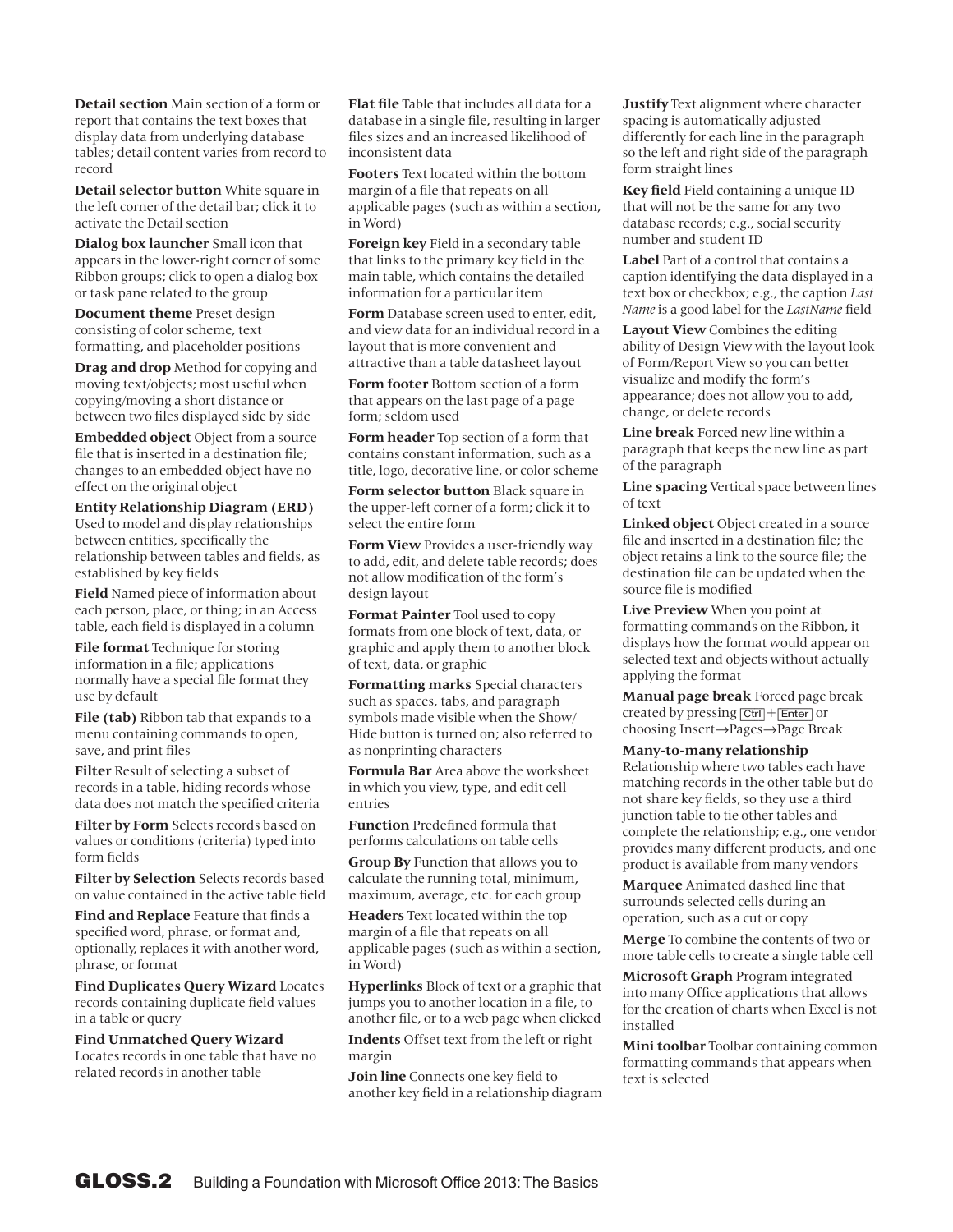**Detail section** Main section of a form or report that contains the text boxes that display data from underlying database tables; detail content varies from record to record

**Detail selector button** White square in the left corner of the detail bar; click it to activate the Detail section

**Dialog box launcher** Small icon that appears in the lower-right corner of some Ribbon groups; click to open a dialog box or task pane related to the group

**Document theme** Preset design consisting of color scheme, text formatting, and placeholder positions

**Drag and drop** Method for copying and moving text/objects; most useful when copying/moving a short distance or between two files displayed side by side

**Embedded object** Object from a source file that is inserted in a destination file; changes to an embedded object have no effect on the original object

**Entity Relationship Diagram (ERD)** Used to model and display relationships between entities, specifically the relationship between tables and fields, as established by key fields

**Field** Named piece of information about each person, place, or thing; in an Access table, each field is displayed in a column

**File format** Technique for storing information in a file; applications normally have a special file format they use by default

**File (tab)** Ribbon tab that expands to a menu containing commands to open, save, and print files

**Filter** Result of selecting a subset of records in a table, hiding records whose data does not match the specified criteria

**Filter by Form** Selects records based on values or conditions (criteria) typed into form fields

**Filter by Selection** Selects records based on value contained in the active table field

**Find and Replace** Feature that finds a specified word, phrase, or format and, optionally, replaces it with another word, phrase, or format

**Find Duplicates Query Wizard** Locates records containing duplicate field values in a table or query

**Find Unmatched Query Wizard**  Locates records in one table that have no related records in another table

**Flat file** Table that includes all data for a database in a single file, resulting in larger files sizes and an increased likelihood of inconsistent data

**Footers** Text located within the bottom margin of a file that repeats on all applicable pages (such as within a section, in Word)

**Foreign key** Field in a secondary table that links to the primary key field in the main table, which contains the detailed information for a particular item

**Form** Database screen used to enter, edit, and view data for an individual record in a layout that is more convenient and attractive than a table datasheet layout

**Form footer** Bottom section of a form that appears on the last page of a page form; seldom used

**Form header** Top section of a form that contains constant information, such as a title, logo, decorative line, or color scheme

**Form selector button** Black square in the upper-left corner of a form; click it to select the entire form

**Form View** Provides a user-friendly way to add, edit, and delete table records; does not allow modification of the form's design layout

**Format Painter** Tool used to copy formats from one block of text, data, or graphic and apply them to another block of text, data, or graphic

**Formatting marks** Special characters such as spaces, tabs, and paragraph symbols made visible when the Show/ Hide button is turned on; also referred to as nonprinting characters

**Formula Bar** Area above the worksheet in which you view, type, and edit cell entries

**Function** Predefined formula that performs calculations on table cells

**Group By** Function that allows you to calculate the running total, minimum, maximum, average, etc. for each group

**Headers** Text located within the top margin of a file that repeats on all applicable pages (such as within a section, in Word)

**Hyperlinks** Block of text or a graphic that jumps you to another location in a file, to another file, or to a web page when clicked

**Indents** Offset text from the left or right margin

**Join line** Connects one key field to another key field in a relationship diagram **Justify** Text alignment where character spacing is automatically adjusted differently for each line in the paragraph so the left and right side of the paragraph form straight lines

**Key field** Field containing a unique ID that will not be the same for any two database records; e.g., social security number and student ID

**Label** Part of a control that contains a caption identifying the data displayed in a text box or checkbox; e.g., the caption *Last Name* is a good label for the *LastName* field

**Layout View** Combines the editing ability of Design View with the layout look of Form/Report View so you can better visualize and modify the form's appearance; does not allow you to add, change, or delete records

**Line break** Forced new line within a paragraph that keeps the new line as part of the paragraph

**Line spacing** Vertical space between lines of text

**Linked object** Object created in a source file and inserted in a destination file; the object retains a link to the source file; the destination file can be updated when the source file is modified

**Live Preview** When you point at formatting commands on the Ribbon, it displays how the format would appear on selected text and objects without actually applying the format

**Manual page break** Forced page break created by pressing [Ctrl]+[Enter] or choosing Insert→Pages→Page Break

**Many-to-many relationship**

Relationship where two tables each have matching records in the other table but do not share key fields, so they use a third junction table to tie other tables and complete the relationship; e.g., one vendor provides many different products, and one product is available from many vendors

**Marquee** Animated dashed line that surrounds selected cells during an operation, such as a cut or copy

**Merge** To combine the contents of two or more table cells to create a single table cell

**Microsoft Graph** Program integrated into many Office applications that allows for the creation of charts when Excel is not installed

**Mini toolbar** Toolbar containing common formatting commands that appears when text is selected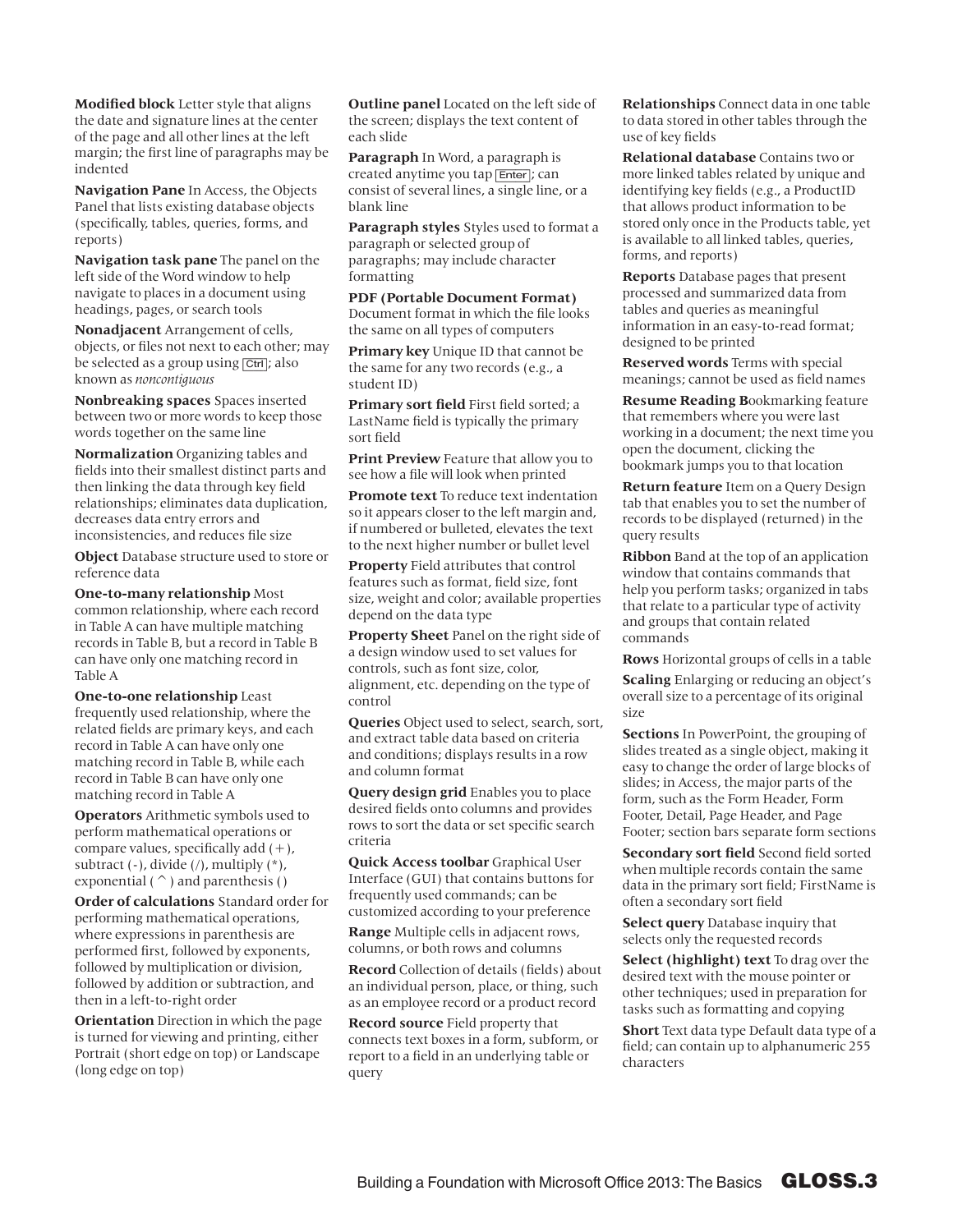**Modified block** Letter style that aligns the date and signature lines at the center of the page and all other lines at the left margin; the first line of paragraphs may be indented

**Navigation Pane** In Access, the Objects Panel that lists existing database objects (specifically, tables, queries, forms, and reports)

**Navigation task pane** The panel on the left side of the Word window to help navigate to places in a document using headings, pages, or search tools

**Nonadjacent** Arrangement of cells, objects, or files not next to each other; may be selected as a group using **Ctrl**; also known as *noncontiguous*

**Nonbreaking spaces** Spaces inserted between two or more words to keep those words together on the same line

**Normalization** Organizing tables and fields into their smallest distinct parts and then linking the data through key field relationships; eliminates data duplication, decreases data entry errors and inconsistencies, and reduces file size

**Object** Database structure used to store or reference data

**One-to-many relationship** Most common relationship, where each record in Table A can have multiple matching records in Table B, but a record in Table B can have only one matching record in Table A

**One-to-one relationship** Least frequently used relationship, where the related fields are primary keys, and each record in Table A can have only one matching record in Table B, while each record in Table B can have only one matching record in Table A

**Operators** Arithmetic symbols used to perform mathematical operations or compare values, specifically add  $(+)$ , subtract  $(-)$ , divide  $($ / $)$ , multiply  $(*$  $)$ , exponential ( $\hat{\ }$ ) and parenthesis ()

**Order of calculations** Standard order for performing mathematical operations, where expressions in parenthesis are performed first, followed by exponents, followed by multiplication or division, followed by addition or subtraction, and then in a left-to-right order

**Orientation** Direction in which the page is turned for viewing and printing, either Portrait (short edge on top) or Landscape (long edge on top)

**Outline panel** Located on the left side of the screen; displays the text content of each slide

**Paragraph** In Word, a paragraph is created anytime you tap [Enter]; can consist of several lines, a single line, or a blank line

**Paragraph styles** Styles used to format a paragraph or selected group of paragraphs; may include character formatting

**PDF (Portable Document Format)**  Document format in which the file looks the same on all types of computers

**Primary key** Unique ID that cannot be the same for any two records (e.g., a student ID)

**Primary sort field** First field sorted; a LastName field is typically the primary sort field

**Print Preview** Feature that allow you to see how a file will look when printed

**Promote text** To reduce text indentation so it appears closer to the left margin and, if numbered or bulleted, elevates the text to the next higher number or bullet level

**Property** Field attributes that control features such as format, field size, font size, weight and color; available properties depend on the data type

**Property Sheet** Panel on the right side of a design window used to set values for controls, such as font size, color, alignment, etc. depending on the type of control

**Queries** Object used to select, search, sort, and extract table data based on criteria and conditions; displays results in a row and column format

**Query design grid** Enables you to place desired fields onto columns and provides rows to sort the data or set specific search criteria

**Quick Access toolbar** Graphical User Interface (GUI) that contains buttons for frequently used commands; can be customized according to your preference

**Range** Multiple cells in adjacent rows, columns, or both rows and columns

**Record** Collection of details (fields) about an individual person, place, or thing, such as an employee record or a product record

**Record source** Field property that connects text boxes in a form, subform, or report to a field in an underlying table or query

**Relationships** Connect data in one table to data stored in other tables through the use of key fields

**Relational database** Contains two or more linked tables related by unique and identifying key fields (e.g., a ProductID that allows product information to be stored only once in the Products table, yet is available to all linked tables, queries, forms, and reports)

**Reports** Database pages that present processed and summarized data from tables and queries as meaningful information in an easy-to-read format; designed to be printed

**Reserved words** Terms with special meanings; cannot be used as field names

**Resume Reading B**ookmarking feature that remembers where you were last working in a document; the next time you open the document, clicking the bookmark jumps you to that location

**Return feature** Item on a Query Design tab that enables you to set the number of records to be displayed (returned) in the query results

**Ribbon** Band at the top of an application window that contains commands that help you perform tasks; organized in tabs that relate to a particular type of activity and groups that contain related commands

**Rows** Horizontal groups of cells in a table

**Scaling** Enlarging or reducing an object's overall size to a percentage of its original size

**Sections** In PowerPoint, the grouping of slides treated as a single object, making it easy to change the order of large blocks of slides; in Access, the major parts of the form, such as the Form Header, Form Footer, Detail, Page Header, and Page Footer; section bars separate form sections

**Secondary sort field** Second field sorted when multiple records contain the same data in the primary sort field; FirstName is often a secondary sort field

**Select query** Database inquiry that selects only the requested records

**Select (highlight) text** To drag over the desired text with the mouse pointer or other techniques; used in preparation for tasks such as formatting and copying

**Short** Text data type Default data type of a field; can contain up to alphanumeric 255 characters